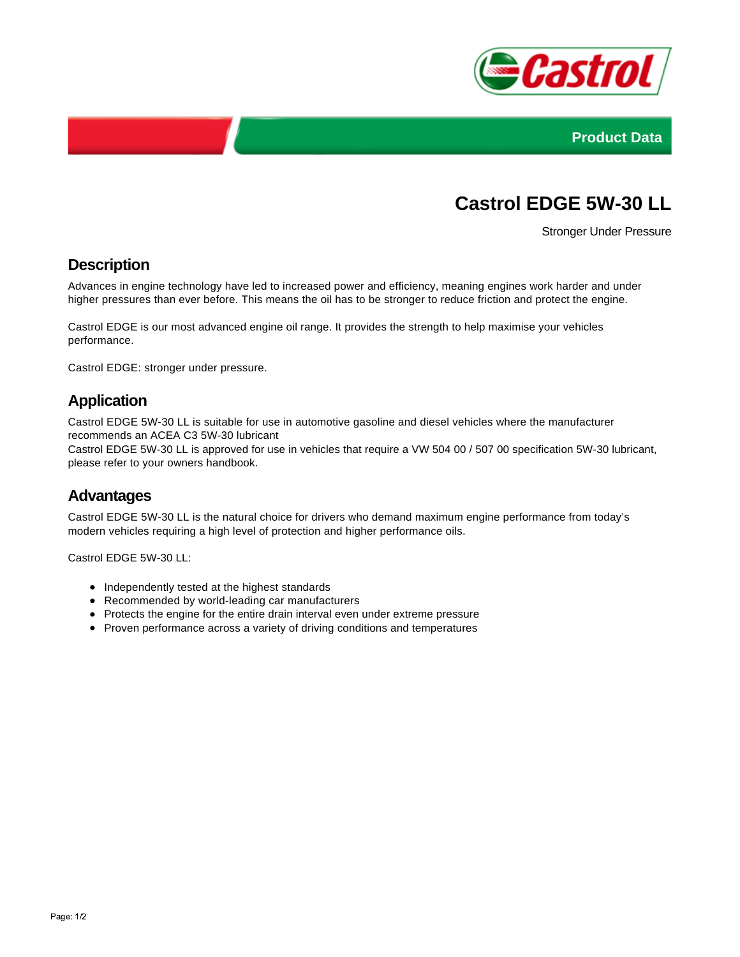



# **Castrol EDGE 5W-30 LL**

Stronger Under Pressure

#### **Description**

Advances in engine technology have led to increased power and efficiency, meaning engines work harder and under higher pressures than ever before. This means the oil has to be stronger to reduce friction and protect the engine.

Castrol EDGE is our most advanced engine oil range. It provides the strength to help maximise your vehicles performance.

Castrol EDGE: stronger under pressure.

#### **Application**

Castrol EDGE 5W-30 LL is suitable for use in automotive gasoline and diesel vehicles where the manufacturer recommends an ACEA C3 5W-30 lubricant

Castrol EDGE 5W-30 LL is approved for use in vehicles that require a VW 504 00 / 507 00 specification 5W-30 lubricant, please refer to your owners handbook.

#### **Advantages**

Castrol EDGE 5W-30 LL is the natural choice for drivers who demand maximum engine performance from today's modern vehicles requiring a high level of protection and higher performance oils.

Castrol EDGE 5W-30 LL:

- Independently tested at the highest standards
- Recommended by world-leading car manufacturers
- Protects the engine for the entire drain interval even under extreme pressure
- Proven performance across a variety of driving conditions and temperatures